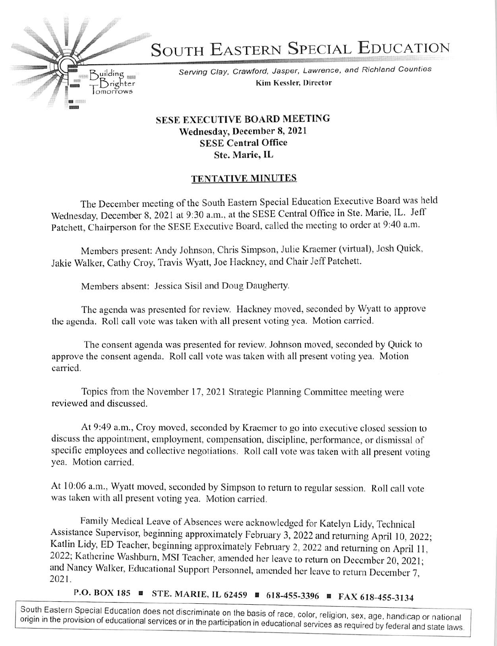SOUTH EASTERN SPECIAL EDUCATION

Serving Clay, Crawford. Jasper. Lawrence, and Richland Counties Kim Kessler, Director

## SESE EXECUTIVE BOARD MEETING Wednesday, December 8, 2021 SESE Central Office Stc. Marie, IL

## **TENTATIVE MINUTES**

The December meeting of the South Eastern Special Education Executive Board was held Wednesday. December 8, 2021 at 9:30 a.m., at the SESE Central Office in Ste. Marie, IL. Jeff Patchett, Chairperson for the SESE Executive Board, called the meeting to order at 9:40 a.m.

Members present: Andy Johnson, Chris Simpson, Julie Kraemer (virtual). Josh Quick, Jakie Walker, Cathy Croy, Travis Wyatt, Joe Hackney, and Chair Jeff Patchett.

Members absent: Jessica Sisil and Doug Daugherty.

Brighter omorrows

 $B$ uilding

The agenda was presented for review, Hackney moved, seconded by Wyatt to approve the agenda, Roll call vole was taken with all present voting yea. Motion carried.

The consent agenda was presented for review. Johnson moved, seconded by Quick to approve the consent agenda. Roll call vote was taken with all present voting yea. Motion carried.

Topics from the November 17, 2021 Strategic Planning Committee meeting were reviewed and discussed.

At 9:49 a.m., Croy moved, seconded by Kraemer to go into executive closed session to discuss the appointment, employment, compensation, discipline, performance, or dismissal of specific employees and collective negotiations. Roll call vote was taken with all present voting yea. Motion carried.

At 10:06 a.m., Wyatt moved, seconded by Simpson to return to regular session. Roll call vote was taken with all present voting yea. Motion carried.

Family Medical Leave of Absences were acknowledged for Katelyn Lidy, Technical Assistance Supervisor, beginning approximately February 3, 2022 and returning April 10, 2022; Katlin Lidy, ED Teacher, beginning approximately February 2, 2022 and returning on April 11, 2022; Katherine Washburn, MSI Teacher, amended her leave to return on December 20, 2021; and Nancy Walker, Educational Support Personnel, amended her leave to return December 7, 2021.

P.O. BOX 185 ■ STE. MARIE, IL 62459 ■ 618-455-3396 ■ FAX 618-455-3134

South Eastern Special Education does not discriminate on the basis of race, color, religion, sex, age, handicap or national<br>origin in the provision of educational services or in the participation in educational services as